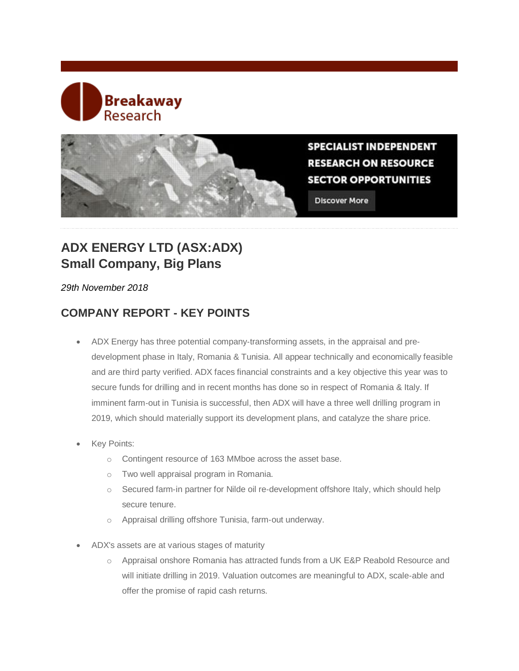# Breakaway **Research**



**SPECIALIST INDEPENDENT RESEARCH ON RESOURCE SECTOR OPPORTUNITIES** 

**Discover More** 

## **ADX ENERGY LTD (ASX:ADX) Small Company, Big Plans**

#### *29th November 2018*

## **COMPANY REPORT - KEY POINTS**

- ADX Energy has three potential company‐transforming assets, in the appraisal and pre‐ development phase in Italy, Romania & Tunisia. All appear technically and economically feasible and are third party verified. ADX faces financial constraints and a key objective this year was to secure funds for drilling and in recent months has done so in respect of Romania & Italy. If imminent farm-out in Tunisia is successful, then ADX will have a three well drilling program in 2019, which should materially support its development plans, and catalyze the share price.
- Key Points:
	- o Contingent resource of 163 MMboe across the asset base.
	- o Two well appraisal program in Romania.
	- o Secured farm‐in partner for Nilde oil re‐development offshore Italy, which should help secure tenure.
	- o Appraisal drilling offshore Tunisia, farm‐out underway.
- ADX's assets are at various stages of maturity
	- o Appraisal onshore Romania has attracted funds from a UK E&P Reabold Resource and will initiate drilling in 2019. Valuation outcomes are meaningful to ADX, scale‐able and offer the promise of rapid cash returns.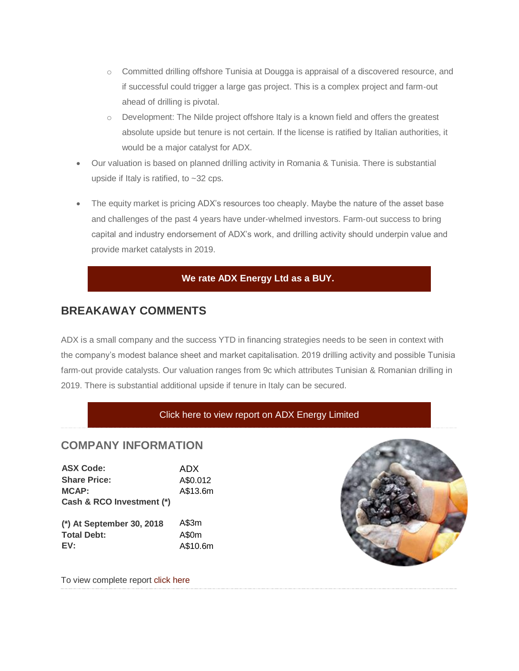- o Committed drilling offshore Tunisia at Dougga is appraisal of a discovered resource, and if successful could trigger a large gas project. This is a complex project and farm‐out ahead of drilling is pivotal.
- o Development: The Nilde project offshore Italy is a known field and offers the greatest absolute upside but tenure is not certain. If the license is ratified by Italian authorities, it would be a major catalyst for ADX.
- Our valuation is based on planned drilling activity in Romania & Tunisia. There is substantial upside if Italy is ratified, to ~32 cps.
- The equity market is pricing ADX's resources too cheaply. Maybe the nature of the asset base and challenges of the past 4 years have under‐whelmed investors. Farm‐out success to bring capital and industry endorsement of ADX's work, and drilling activity should underpin value and provide market catalysts in 2019.

#### **We rate ADX Energy Ltd as a BUY.**

### **BREAKAWAY COMMENTS**

ADX is a small company and the success YTD in financing strategies needs to be seen in context with the company's modest balance sheet and market capitalisation. 2019 drilling activity and possible Tunisia farm-out provide catalysts. Our valuation ranges from 9c which attributes Tunisian & Romanian drilling in 2019. There is substantial additional upside if tenure in Italy can be secured.

#### [Click here to view report on ADX Energy Limited](https://www.breakawayresearch.com/CampaignProcess.aspx?A=Link&VID=11868836&KID=310248&LID=1778191)

#### **COMPANY INFORMATION**

| <b>ASX Code:</b>          | ADX.     |
|---------------------------|----------|
| <b>Share Price:</b>       | A\$0.012 |
| <b>MCAP:</b>              | A\$13.6m |
| Cash & RCO Investment (*) |          |
|                           |          |
| (*) At September 30, 2018 | A\$3m    |
| <b>Total Debt:</b>        | A\$0m    |

**EV:** A\$10.6m



To view complete report [click here](https://www.breakawayresearch.com/CampaignProcess.aspx?A=Link&VID=11868836&KID=310248&LID=1778191)